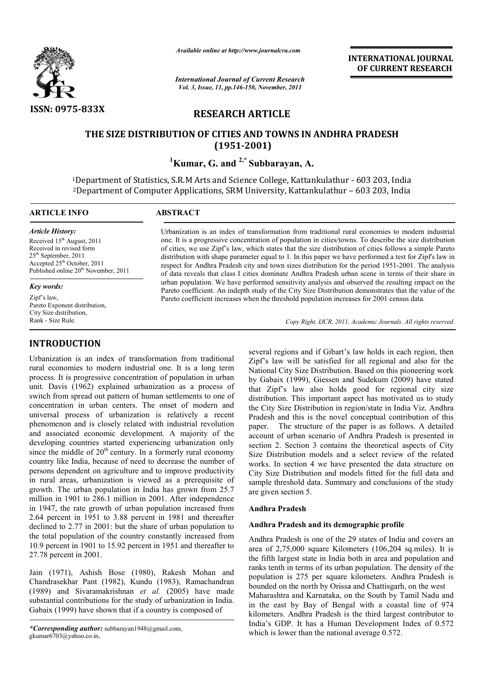

*Available online at http://www.journalcra.com*

*International Journal of Current Research Vol. 3, Issue, 11, pp.146-150, November, 2011*

**INTERNATIONAL INTERNATIONAL JOURNAL OF CURRENT RESEARCH** 

# **RESEARCH ARTICLE**

# **THE SIZE DISTRIBUTION OF CITIES AND TOWNS IN ANDHRA PRADESH PRADESH(1951-2001)**

**1 Kumar Kumar, G. and 2,\* Subbarayan, A.**

<sup>1</sup>Department of Statistics, S.R.M Arts and Science College, Kattankulathur - 603 203, India 2Department of Computer Applications, SRM University, Kattankulathur Department – – 603 203, India  $\overline{a}$ 

# **ARTICLE INFO ABSTRACT**

*Article History:* Received 15<sup>th</sup> August, 2011 Received in revised form 25th September, 2011  $\frac{25}{\text{L}} \cdot \frac{2511}{\text{C}}$  October, 2011 Published online 20<sup>th</sup> November, 2011

#### *Key words:*

Zipf's law, Pareto Exponent distribution, City Size distribution, Rank - Size Rule.

# **INTRODUCTION**

Urbanization is an index of transformation from traditional rural economies to modern industrial one. It is a long term process. It is progressive concentration of population in urban unit. Davis (1962) explained urbanization as a process of switch from spread out pattern of human settlements to one of concentration in urban centers. The onset of modern and universal process of urbanization is relatively a recent phenomenon and is closely related with industrial revolution and associated economic development. A majority of the developing countries started experiencing urbanization only since the middle of  $20<sup>th</sup>$  century. In a formerly rural economy country like India, because of need to decrease the number of persons dependent on agriculture and to improve productivity in rural areas, urbanization is viewed as a prerequisite of growth. The urban population in India has grown from 25.7 million in 1901 to 286.1 million in 2001. After independence in 1947, the rate growth of urban population increased from 2.64 percent in 1951 to 3.88 percent in 1981 and thereafter declined to 2.77 in 2001: but the share of urban population to the total population of the country constantly increased from 10.9 percent in 1901 to 15.92 percent in 1951 and thereafter to 27.78 percent in 2001. is an index of transformation from traditional<br>
several regions and if Gibart's law<br>
es to modern industrial one. It is a long term<br>
Mational City Size Distribution. Bas<br>
organisary concentration of population in urban<br>
b

Jain (1971), Ashish Bose (1980), Rakesh Mohan and Chandrasekhar Pant (1982), Kundu (1983), Ramachandran (1989) and Sivaramakrishnan *et al.* (2005) have made substantial contributions for the study of urbanization in India. Gabaix (1999) have shown that if a country is composed of

Urbanization is an index of transformation from traditional rural economies to modern industrial one. It is a progressive concentration of population in cities/towns. To describe the size distribution one. It is a progressive concentration of population in cities/towns. To describe the size distribution of cities, we use Zipf's law, which states that the size distribution of cities follows a simple Pareto distribution with shape parameter equal to 1. In this paper we have performed a test for Zipf's law in distribution with shape parameter equal to 1. In this paper we have performed a test for Zipf's law in respect for Andhra Pradesh city and town sizes distribution for the period 1951-2001. The analysis of data reveals that class I cities dominate Andhra Pradesh urban scene in terms of their share in urban population. We have performed sensitivity analysis and observed the resulting impact on the of data reveals that class I cities dominate Andhra Pradesh urban scene in terms of their share in<br>urban population. We have performed sensitivity analysis and observed the resulting impact on the<br>Pareto coefficient. An in Pareto coefficient increases when the threshold population increases for 2001 census data.

Copy Right, IJCR, 2011, Academic Journals. All rights reserved.

Zipf's law will be satisfied for all regional and also for the National City Size Distribution. Based on this pioneering work by Gabaix (1999), Giessen and Sudekum (2009) have stated that Zipf's law also holds good for regional c distribution. This important aspect has motivated us to study the City Size Distribution in region/state in India Viz. Andhra Pradesh and this is the novel conceptual contribution of this paper. The structure of the paper is as follows. A detailed account of urban scenario of Andhra Pradesh is presented in section 2. Section 3 contains the theoretical aspects of City Size Distribution models and a select review of the related works. In section 4 we have presented the data structure on City Size Distribution and models fitted for the full data and sample threshold data. Summary and conclusions of the study are given section 5. several regions and if Gibart's law holds in each region, then law will be satisfied for all regional and also for the<br>al City Size Distribution. Based on this pioneering work<br>paix (1999), Giessen and Sudekum (2009) have stated<br>ipf's law also holds good for regional city size ion. This important aspect has motivated us to study Size Distribution in region/state in India Viz. Andhra and this is the novel conceptual contribution of this The structure of the paper is as follows. A detailed account of urban scenario of Andhra Pradesh is presented in section 2. Section 3 contains the theoretical aspects of City Size Distribution models and a select review of the related works. In section 4 we have presented th

## **Andhra Pradesh**

## **Andhra Pradesh and its demographic profile**

Andhra Pradesh is one of the 29 states of India and covers an area of 2,75,000 square Kilometers (106,204 sq.miles). It is the fifth largest state in India both in area and population and ranks tenth in terms of its urban population. The density of the population is 275 per square kilometers. Andhra Pradesh is bounded on the north by Orissa and Chattisgarh, on the west Maharashtra and Karnataka, on the South by Tamil Nadu and in the east by Bay of Bengal with a coastal line of 974 Andhra Pradesh is one of the 29 states of India and covers an area of 2,75,000 square Kilometers (106,204 sq.miles). It is the fifth largest state in India both in area and population and ranks tenth in terms of its urban India's GDP. It has a Human Development Index of 0.572 which is lower than the national average 0.572.

*<sup>\*</sup>Corresponding author:* subbarayan1948@gmail.com, gkumar6703@yahoo.co.in,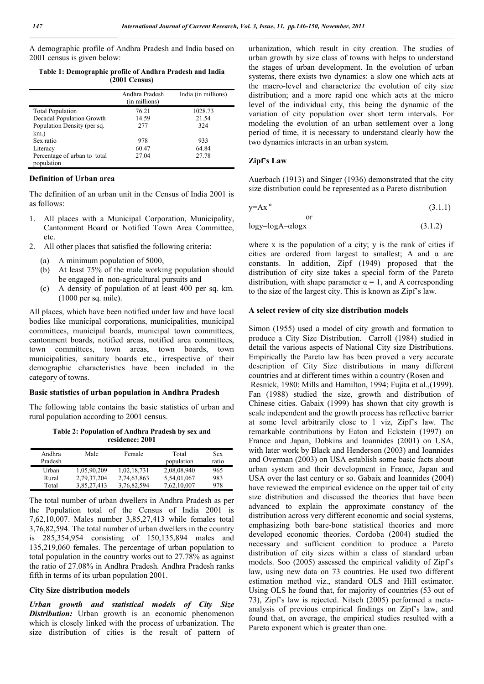A demographic profile of Andhra Pradesh and India based on 2001 census is given below:

**Table 1: Demographic profile of Andhra Pradesh and India (2001 Census)**

|                                            | Andhra Pradesh<br>(in millions) | India (in millions) |
|--------------------------------------------|---------------------------------|---------------------|
| <b>Total Population</b>                    | 76.21                           | 1028.73             |
| Decadal Population Growth                  | 14.59                           | 21.54               |
| Population Density (per sq.                | 277                             | 324                 |
| km.)                                       |                                 |                     |
| Sex ratio                                  | 978                             | 933                 |
| Literacy                                   | 60.47                           | 64.84               |
| Percentage of urban to total<br>population | 27.04                           | 27.78               |

#### **Definition of Urban area**

The definition of an urban unit in the Census of India 2001 is as follows:

- 1. All places with a Municipal Corporation, Municipality, Cantonment Board or Notified Town Area Committee, etc.
- 2. All other places that satisfied the following criteria:
	- (a) A minimum population of 5000,
	- (b) At least 75% of the male working population should be engaged in non-agricultural pursuits and
	- (c) A density of population of at least 400 per sq. km. (1000 per sq. mile).

All places, which have been notified under law and have local bodies like municipal corporations, municipalities, municipal committees, municipal boards, municipal town committees, cantonment boards, notified areas, notified area committees, town committees, town areas, town boards, town municipalities, sanitary boards etc., irrespective of their demographic characteristics have been included in the category of towns.

## **Basic statistics of urban population in Andhra Pradesh**

The following table contains the basic statistics of urban and rural population according to 2001 census.

**Table 2: Population of Andhra Pradesh by sex and residence: 2001**

| Andhra<br>Pradesh | Male        | Female      | Total<br>population | <b>Sex</b><br>ratio |
|-------------------|-------------|-------------|---------------------|---------------------|
| Urban             | 1,05,90,209 | 1,02,18,731 | 2,08,08,940         | 965                 |
| Rural             | 2,79,37,204 | 2,74,63,863 | 5,54,01,067         | 983                 |
| Total             | 3,85,27,413 | 3.76.82.594 | 7.62.10.007         | 978                 |

The total number of urban dwellers in Andhra Pradesh as per the Population total of the Census of India 2001 is 7,62,10,007. Males number 3,85,27,413 while females total 3,76,82,594. The total number of urban dwellers in the country is 285,354,954 consisting of 150,135,894 males and 135,219,060 females. The percentage of urban population to total population in the country works out to 27.78% as against the ratio of 27.08% in Andhra Pradesh. Andhra Pradesh ranks fifth in terms of its urban population 2001.

#### **City Size distribution models**

*Urban growth and statistical models of City Size Distribution:* Urban growth is an economic phenomenon which is closely linked with the process of urbanization. The size distribution of cities is the result of pattern of urbanization, which result in city creation. The studies of urban growth by size class of towns with helps to understand the stages of urban development. In the evolution of urban systems, there exists two dynamics: a slow one which acts at the macro-level and characterize the evolution of city size distribution; and a more rapid one which acts at the micro level of the individual city, this being the dynamic of the variation of city population over short term intervals. For modeling the evolution of an urban settlement over a long period of time, it is necessary to understand clearly how the two dynamics interacts in an urban system.

### **Zipf's Law**

or

Auerbach (1913) and Singer (1936) demonstrated that the city size distribution could be represented as a Pareto distribution

$$
y = Ax^{-\alpha} \tag{3.1.1}
$$

$$
logy = logA - alogx
$$
 (3.1.2)

where x is the population of a city; y is the rank of cities if cities are ordered from largest to smallest; A and  $\alpha$  are constants. In addition, Zipf (1949) proposed that the distribution of city size takes a special form of the Pareto distribution, with shape parameter  $\alpha = 1$ , and A corresponding to the size of the largest city. This is known as Zipf's law.

### **A select review of city size distribution models**

Simon (1955) used a model of city growth and formation to produce a City Size Distribution. Carroll (1984) studied in detail the various aspects of National City size Distributions. Empirically the Pareto law has been proved a very accurate description of City Size distributions in many different countries and at different times within a country (Rosen and Resnick, 1980: Mills and Hamilton, 1994; Fujita et al.,(1999). Fan (1988) studied the size, growth and distribution of Chinese cities. Gabaix (1999) has shown that city growth is scale independent and the growth process has reflective barrier at some level arbitrarily close to 1 viz, Zipf's law. The remarkable contributions by Eaton and Eckstein (1997) on France and Japan, Dobkins and Ioannides (2001) on USA, with later work by Black and Henderson (2003) and Ioannides and Overman (2003) on USA establish some basic facts about urban system and their development in France, Japan and USA over the last century or so. Gabaix and Ioannides (2004) have reviewed the empirical evidence on the upper tail of city size distribution and discussed the theories that have been advanced to explain the approximate constancy of the distribution across very different economic and social systems, emphasizing both bare-bone statistical theories and more developed economic theories. Cordoba (2004) studied the necessary and sufficient condition to produce a Pareto distribution of city sizes within a class of standard urban models. Soo (2005) assessed the empirical validity of Zipf's law, using new data on 73 countries. He used two different estimation method viz., standard OLS and Hill estimator. Using OLS he found that, for majority of countries (53 out of 73), Zipf's law is rejected. Nitsch (2005) performed a metaanalysis of previous empirical findings on Zipf's law, and found that, on average, the empirical studies resulted with a Pareto exponent which is greater than one.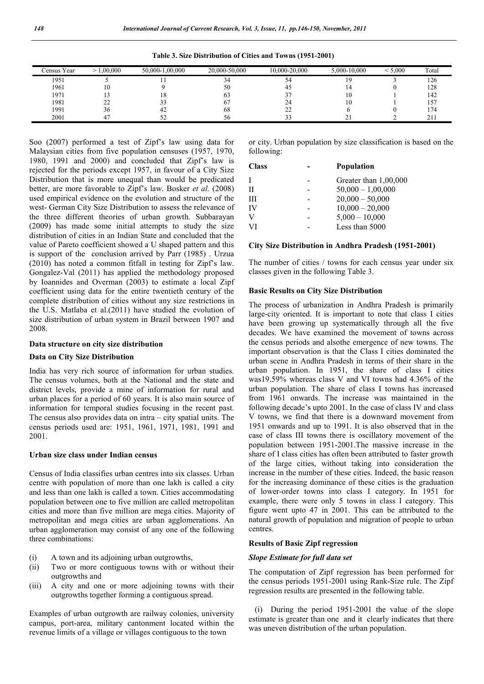| Census Year | .00.000      | 50.000-1.00.000 | 20.000-50.000 | 10.000-20.000 | 5.000-10.000 | 5.000 | Total |
|-------------|--------------|-----------------|---------------|---------------|--------------|-------|-------|
| 1951        |              |                 | $\sim$        |               |              |       | 126   |
| 1961        | 10           |                 | 50            | 42            |              |       | 128   |
| 1971        |              | 10.             |               |               | ΙU           |       | 142   |
| 1981        | $\sim$<br>-- |                 |               | 24            | 1 V          |       | 57ء   |
| 1991        | 30           | 42              | 68            | າາ<br>∸       |              |       | 74    |
| 2001        |              |                 | υU            |               | ∼            |       | 41    |

**Table 3. Size Distribution of Cities and Towns (1951-2001)**

Soo (2007) performed a test of Zipf's law using data for Malaysian cities from five population censuses (1957, 1970, 1980, 1991 and 2000) and concluded that Zipf's law is rejected for the periods except 1957, in favour of a City Size Distribution that is more unequal than would be predicated better, are more favorable to Zipf's law. Bosker *et al.* (2008) used empirical evidence on the evolution and structure of the west- German City Size Distribution to assess the relevance of the three different theories of urban growth. Subbarayan (2009) has made some initial attempts to study the size distribution of cities in an Indian State and concluded that the value of Pareto coefficient showed a U shaped pattern and this is support of the conclusion arrived by Parr (1985) . Urzua (2010) has noted a common fitfall in testing for Zipf's law. Gongalez-Val (2011) has applied the methodology proposed by Ioannides and Overman (2003) to estimate a local Zipf coefficient using data for the entire twentieth century of the complete distribution of cities without any size restrictions in the U.S. Matlaba et al.(2011) have studied the evolution of size distribution of urban system in Brazil between 1907 and 2008.

## **Data structure on city size distribution**

#### **Data on City Size Distribution**

India has very rich source of information for urban studies. The census volumes, both at the National and the state and district levels, provide a mine of information for rural and urban places for a period of 60 years. It is also main source of information for temporal studies focusing in the recent past. The census also provides data on intra – city spatial units. The census periods used are: 1951, 1961, 1971, 1981, 1991 and 2001.

#### **Urban size class under Indian census**

Census of India classifies urban centres into six classes. Urban centre with population of more than one lakh is called a city and less than one lakh is called a town. Cities accommodating population between one to five million are called metropolitan cities and more than five million are mega cities. Majority of metropolitan and mega cities are urban agglomerations. An urban agglomeration may consist of any one of the following three combinations:

- (i) A town and its adjoining urban outgrowths,
- (ii) Two or more contiguous towns with or without their outgrowths and
- (iii) A city and one or more adjoining towns with their outgrowths together forming a contiguous spread.

Examples of urban outgrowth are railway colonies, university campus, port-area, military cantonment located within the revenue limits of a village or villages contiguous to the town

or city. Urban population by size classification is based on the following:

| <b>Population</b>     |
|-----------------------|
| Greater than 1,00,000 |
| $50,000 - 1,00,000$   |
| $20,000 - 50,000$     |
| $10,000 - 20,000$     |
| $5,000 - 10,000$      |
| Less than 5000        |
|                       |

#### **City Size Distribution in Andhra Pradesh (1951-2001)**

The number of cities / towns for each census year under six classes given in the following Table 3.

#### **Basic Results on City Size Distribution**

The process of urbanization in Andhra Pradesh is primarily large-city oriented. It is important to note that class I cities have been growing up systematically through all the five decades. We have examined the movement of towns across the census periods and alsothe emergence of new towns. The important observation is that the Class I cities dominated the urban scene in Andhra Pradesh in terms of their share in the urban population. In 1951, the share of class I cities was19.59% whereas class V and VI towns had 4.36% of the urban population. The share of class I towns has increased from 1961 onwards. The increase was maintained in the following decade's upto 2001. In the case of class IV and class V towns, we find that there is a downward movement from 1951 onwards and up to 1991. It is also observed that in the case of class III towns there is oscillatory movement of the population between 1951-2001.The massive increase in the share of I class cities has often been attributed to faster growth of the large cities, without taking into consideration the increase in the number of these cities. Indeed, the basic reason for the increasing dominance of these cities is the graduation of lower-order towns into class I category. In 1951 for example, there were only 5 towns in class I category. This figure went upto 47 in 2001. This can be attributed to the natural growth of population and migration of people to urban centres.

## **Results of Basic Zipf regression**

## *Slope Estimate for full data set*

The computation of Zipf regression has been performed for the census periods 1951-2001 using Rank-Size rule. The Zipf regression results are presented in the following table.

 (i) During the period 1951-2001 the value of the slope estimate is greater than one and it clearly indicates that there was uneven distribution of the urban population.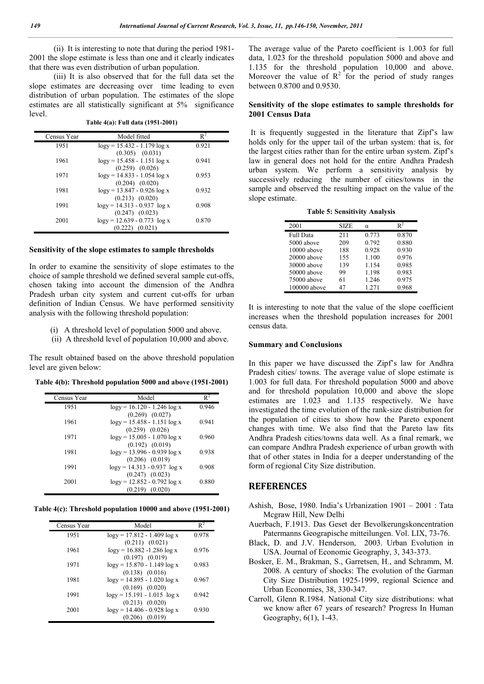(ii) It is interesting to note that during the period 1981- 2001 the slope estimate is less than one and it clearly indicates that there was even distribution of urban population.

 (iii) It is also observed that for the full data set the slope estimates are decreasing over time leading to even distribution of urban population. The estimates of the slope estimates are all statistically significant at 5% significance level.

**Table 4(a): Full data (1951-2001)**

| Census Year | Model fitted                                            | $R^2$ |
|-------------|---------------------------------------------------------|-------|
| 1951        | $logy = 15.432 - 1.179 log x$                           | 0.921 |
|             | $(0.305)$ $(0.031)$                                     |       |
| 1961        | $logy = 15.458 - 1.151 log x$<br>$(0.259)$ $(0.026)$    | 0.941 |
| 1971        | $logy = 14.833 - 1.054 log x$                           | 0.953 |
|             | $(0.204)$ $(0.020)$                                     |       |
| 1981        | $logy = 13.847 - 0.926 log x$                           | 0.932 |
| 1991        | $(0.213)$ $(0.020)$<br>$\log y = 14.313 - 0.937 \log x$ | 0.908 |
|             | $(0.247)$ $(0.023)$                                     |       |
| 2001        | $\log y = 12.639 - 0.773 \log x$                        | 0.870 |
|             | $(0.222)$ $(0.021)$                                     |       |

### **Sensitivity of the slope estimates to sample thresholds**

In order to examine the sensitivity of slope estimates to the choice of sample threshold we defined several sample cut-offs, chosen taking into account the dimension of the Andhra Pradesh urban city system and current cut-offs for urban definition of Indian Census. We have performed sensitivity analysis with the following threshold population:

- (i) A threshold level of population 5000 and above.
- (ii) A threshold level of population 10,000 and above.

The result obtained based on the above threshold population level are given below:

**Table 4(b): Threshold population 5000 and above (1951-2001)**

| Census Year | Model                                                     | $R^2$ |
|-------------|-----------------------------------------------------------|-------|
| 1951        | $\log y = 16.120 - 1.246 \log x$                          | 0.946 |
| 1961        | $(0.269)$ $(0.027)$<br>$logy = 15.458 - 1.151 log x$      | 0.941 |
|             | $(0.259)$ $(0.026)$                                       |       |
| 1971        | $\log y = 15.005 - 1.070 \log x$<br>$(0.192)$ $(0.019)$   | 0.960 |
| 1981        | $logy = 13.996 - 0.939 log x$<br>$(0.206)$ $(0.019)$      | 0.938 |
| 1991        | $\log y = 14.313 - 0.937 \log x$<br>$(0.247)$ $(0.023)$   | 0.908 |
| 2001        | $\log y$ = 12.852 - 0.792 $\log x$<br>$(0.219)$ $(0.020)$ | 0.880 |

**Table 4(c): Threshold population 10000 and above (1951-2001)**

| Census Year | Model                                                   | $R^2$ |
|-------------|---------------------------------------------------------|-------|
| 1951        | $\log y$ = 17.812 - 1.409 $\log x$                      | 0.978 |
| 1961        | $(0.211)$ $(0.021)$<br>$\log y = 16.882 - 1.286 \log x$ | 0.976 |
| 1971        | $(0.197)$ $(0.019)$<br>$\log y = 15.870 - 1.149 \log x$ | 0.983 |
|             | $(0.138)$ $(0.016)$                                     |       |
| 1981        | $\log y = 14.895 - 1.020 \log x$<br>$(0.169)$ $(0.020)$ | 0.967 |
| 1991        | $logy = 15.191 - 1.015 log x$                           | 0.942 |
| 2001        | $(0.213)$ $(0.020)$<br>$\log y = 14.406 - 0.928 \log x$ | 0.930 |
|             | $(0.206)$ $(0.019)$                                     |       |

The average value of the Pareto coefficient is 1.003 for full data, 1.023 for the threshold population 5000 and above and 1.135 for the threshold population 10,000 and above. Moreover the value of  $R^2$  for the period of study ranges between 0.8700 and 0.9530.

## **Sensitivity of the slope estimates to sample thresholds for 2001 Census Data**

It is frequently suggested in the literature that Zipf's law holds only for the upper tail of the urban system: that is, for the largest cities rather than for the entire urban system. Zipf's law in general does not hold for the entire Andhra Pradesh urban system. We perform a sensitivity analysis by successively reducing the number of cities/towns in the sample and observed the resulting impact on the value of the slope estimate.

#### **Table 5: Sensitivity Analysis**

| 2001             | <b>SIZE</b> | α     | $\mathbf{R}^2$ |
|------------------|-------------|-------|----------------|
| <b>Full Data</b> | 211         | 0.773 | 0.870          |
| 5000 above       | 209         | 0.792 | 0.880          |
| 10000 above      | 188         | 0.928 | 0.930          |
| 20000 above      | 155         | 1.100 | 0.976          |
| 30000 above      | 139         | 1.154 | 0.985          |
| 50000 above      | 99          | 1.198 | 0.983          |
| 75000 above      | 61          | 1.246 | 0.975          |
| 100000 above     | 47          | 1.271 | 0.968          |

It is interesting to note that the value of the slope coefficient increases when the threshold population increases for 2001 census data.

## **Summary and Conclusions**

In this paper we have discussed the Zipf's law for Andhra Pradesh cities/ towns. The average value of slope estimate is 1.003 for full data. For threshold population 5000 and above and for threshold population 10,000 and above the slope estimates are 1.023 and 1.135 respectively. We have investigated the time evolution of the rank-size distribution for the population of cities to show how the Pareto exponent changes with time. We also find that the Pareto law fits Andhra Pradesh cities/towns data well. As a final remark, we can compare Andhra Pradesh experience of urban growth with that of other states in India for a deeper understanding of the form of regional City Size distribution.

# **REFERENCES**

- Ashish, Bose, 1980. India's Urbanization 1901 2001 : Tata Mcgraw Hill, New Delhi
- Auerbach, F.1913. Das Geset der Bevolkerungskoncentration Patermanns Geograpische mitteilungen. Vol. LIX, 73-76.
- Black, D. and J.V. Henderson, 2003. Urban Evolution in USA. Journal of Economic Geography, 3, 343-373.
- Bosker, E. M., Brakman, S., Garretsen, H., and Schramm, M. 2008. A century of shocks: The evolution of the Garman City Size Distribution 1925-1999, regional Science and Urban Economies, 38, 330-347.
- Carroll, Glenn R.1984. National City size distributions: what we know after 67 years of research? Progress In Human Geography, 6(1), 1-43.